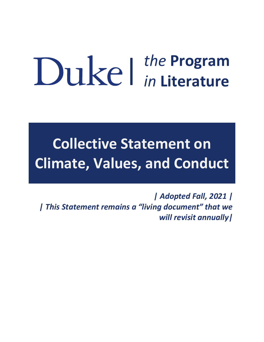# | *the* **Program** *in* **Literature**

**Collective Statement on Climate, Values, and Conduct**

*| Adopted Fall, 2021 | | This Statement remains a "living document" that we will revisit annually|*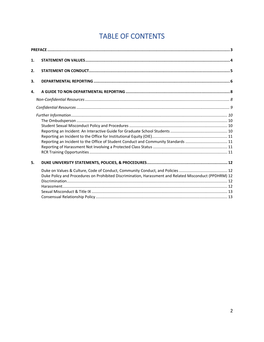# **TABLE OF CONTENTS**

| 1. |                                                                                                        |  |
|----|--------------------------------------------------------------------------------------------------------|--|
| 2. |                                                                                                        |  |
| 3. |                                                                                                        |  |
| 4. |                                                                                                        |  |
|    |                                                                                                        |  |
|    |                                                                                                        |  |
|    | Reporting an Incident to the Office of Student Conduct and Community Standards  11                     |  |
| 5. |                                                                                                        |  |
|    | Duke Policy and Procedures on Prohibited Discrimination, Harassment and Related Misconduct (PPDHRM) 12 |  |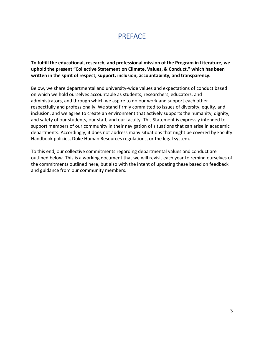## PREFACE

**To fulfill the educational, research, and professional mission of the Program in Literature, we uphold the present "Collective Statement on Climate, Values, & Conduct," which has been written in the spirit of respect, support, inclusion, accountability, and transparency.** 

Below, we share departmental and university-wide values and expectations of conduct based on which we hold ourselves accountable as students, researchers, educators, and administrators, and through which we aspire to do our work and support each other respectfully and professionally. We stand firmly committed to issues of diversity, equity, and inclusion, and we agree to create an environment that actively supports the humanity, dignity, and safety of our students, our staff, and our faculty. This Statement is expressly intended to support members of our community in their navigation of situations that can arise in academic departments. Accordingly, it does not address many situations that might be covered by Faculty Handbook policies, Duke Human Resources regulations, or the legal system.

To this end, our collective commitments regarding departmental values and conduct are outlined below. This is a working document that we will revisit each year to remind ourselves of the commitments outlined here, but also with the intent of updating these based on feedback and guidance from our community members.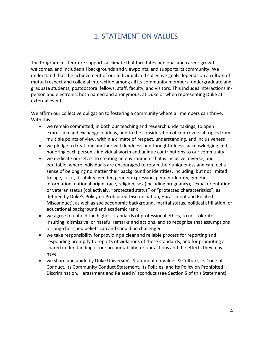## 1. STATEMENT ON VALUES

The Program in Literature supports a climate that facilitates personal and career growth, welcomes, and includes all backgrounds and viewpoints, and supports its community. We understand that the achievement of our individual and collective goals depends on a culture of mutual respect and collegial interaction among all its community members: undergraduate and graduate students, postdoctoral fellows, staff, faculty, and visitors. This includes interactions inperson and electronic, both named and anonymous, at Duke or when representing Duke at external events.

We affirm our collective obligation to fostering a community where all members can thrive. With this:

- we remain committed, in both our teaching and research undertakings, to open expression and exchange of ideas, and to the consideration of controversial topics from multiple points of view, within a climate of respect, understanding, and inclusiveness
- we pledge to treat one another with kindness and thoughtfulness, acknowledging and honoring each person's individual worth and unique contributions to our community
- we dedicate ourselves to creating an environment that is inclusive, diverse, and equitable, where individuals are encouraged to retain their uniqueness and can feel a sense of belonging no matter their background or identities, including, but not limited to: age, color, disability, gender, gender expression, gender identity, genetic information, national origin, race, religion, sex (including pregnancy), sexual orientation, or veteran status (collectively, "protected status" or "protected characteristics", as defined by Duke's Policy on Prohibited Discrimination, Harassment and Related Misconduct), as well as socioeconomic background, marital status, political affiliation, or educational background and academic rank
- we agree to uphold the highest standards of professional ethics, to not tolerate insulting, dismissive, or hateful remarks and actions, and to recognize that assumptions or long-cherished beliefs can and should be challenged
- we take responsibility for providing a clear and reliable process for reporting and responding promptly to reports of violations of these standards, and for promoting a shared understanding of our accountability for our actions and the effects they may have
- we share and abide by Duke University's Statement on Values & Culture, its Code of Conduct, its Community Conduct Statement, its Policies, and its Policy on Prohibited Discrimination, Harassment and Related Misconduct (see Section 5 of this Statement)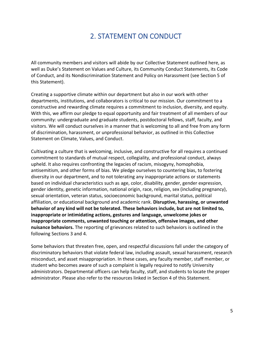## 2. STATEMENT ON CONDUCT

All community members and visitors will abide by our Collective Statement outlined here, as well as Duke's Statement on Values and Culture, its Community Conduct Statements, its Code of Conduct, and its Nondiscrimination Statement and Policy on Harassment (see Section 5 of this Statement).

Creating a supportive climate within our department but also in our work with other departments, institutions, and collaborators is critical to our mission. Our commitment to a constructive and rewarding climate requires a commitment to inclusion, diversity, and equity. With this, we affirm our pledge to equal opportunity and fair treatment of all members of our community: undergraduate and graduate students, postdoctoral fellows, staff, faculty, and visitors. We will conduct ourselves in a manner that is welcoming to all and free from any form of discrimination, harassment, or unprofessional behavior, as outlined in this Collective Statement on Climate, Values, and Conduct.

Cultivating a culture that is welcoming, inclusive, and constructive for all requires a continued commitment to standards of mutual respect, collegiality, and professional conduct, always upheld. It also requires confronting the legacies of racism, misogyny, homophobia, antisemitism, and other forms of bias. We pledge ourselves to countering bias, to fostering diversity in our department, and to not tolerating any inappropriate actions or statements based on individual characteristics such as age, color, disability, gender, gender expression, gender identity, genetic information, national origin, race, religion, sex (including pregnancy), sexual orientation, veteran status, socioeconomic background, marital status, political affiliation, or educational background and academic rank. **Disruptive, harassing, or unwanted behavior of any kind will not be tolerated. These behaviors include, but are not limited to, inappropriate or intimidating actions, gestures and language, unwelcome jokes or inappropriate comments, unwanted touching or attention, offensive images, and other nuisance behaviors.** The reporting of grievances related to such behaviors is outlined in the following Sections 3 and 4.

Some behaviors that threaten free, open, and respectful discussions fall under the category of discriminatory behaviors that violate federal law, including assault, sexual harassment, research misconduct, and asset misappropriation. In these cases, any faculty member, staff member, or student who becomes aware of such a complaint is legally required to notify University administrators. Departmental officers can help faculty, staff, and students to locate the proper administrator. Please also refer to the resources linked in Section 4 of this Statement.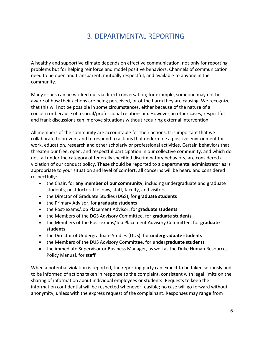## 3. DEPARTMENTAL REPORTING

A healthy and supportive climate depends on effective communication, not only for reporting problems but for helping reinforce and model positive behaviors. Channels of communication need to be open and transparent, mutually respectful, and available to anyone in the community.

Many issues can be worked out via direct conversation; for example, someone may not be aware of how their actions are being perceived, or of the harm they are causing. We recognize that this will not be possible in some circumstances, either because of the nature of a concern or because of a social/professional relationship. However, in other cases, respectful and frank discussions can improve situations without requiring external intervention.

All members of the community are accountable for their actions. It is important that we collaborate to prevent and to respond to actions that undermine a positive environment for work, education, research and other scholarly or professional activities. Certain behaviors that threaten our free, open, and respectful participation in our collective community, and which do not fall under the category of federally specified discriminatory behaviors, are considered a violation of our conduct policy. These should be reported to a departmental administrator as is appropriate to your situation and level of comfort; all concerns will be heard and considered respectfully:

- the Chair, for **any member of our community**, including undergraduate and graduate students, postdoctoral fellows, staff, faculty, and visitors
- the Director of Graduate Studies (DGS), for **graduate students**
- the Primary Advisor, for **graduate students**
- the Post-exams/Job Placement Advisor, for **graduate students**
- the Members of the DGS Advisory Committee, for **graduate students**
- the Members of the Post-exams/Job Placement Advisory Committee, for **graduate students**
- the Director of Undergraduate Studies (DUS), for **undergraduate students**
- the Members of the DUS Advisory Committee, for **undergraduate students**
- the immediate Supervisor or Business Manager, as well as the Duke Human Resources Policy Manual, for **staff**

When a potential violation is reported, the reporting party can expect to be taken seriously and to be informed of actions taken in response to the complaint, consistent with legal limits on the sharing of information about individual employees or students. Requests to keep the information confidential will be respected whenever feasible; no case will go forward without anonymity, unless with the express request of the complainant. Responses may range from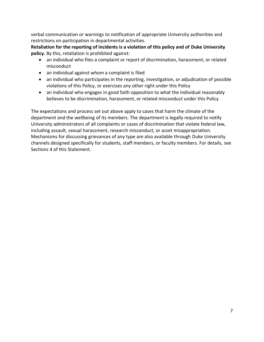verbal communication or warnings to notification of appropriate University authorities and restrictions on participation in departmental activities.

**Retaliation for the reporting of incidents is a violation of this policy and of Duke University policy.** By this, retaliation is prohibited against:

- an individual who files a complaint or report of discrimination, harassment, or related misconduct
- an individual against whom a complaint is filed
- an individual who participates in the reporting, investigation, or adjudication of possible violations of this Policy, or exercises any other right under this Policy
- an individual who engages in good faith opposition to what the individual reasonably believes to be discrimination, harassment, or related misconduct under this Policy

The expectations and process set out above apply to cases that harm the climate of the department and the wellbeing of its members. The department is legally required to notify University administrators of all complaints or cases of discrimination that violate federal law, including assault, sexual harassment, research misconduct, or asset misappropriation. Mechanisms for discussing grievances of any type are also available through Duke University channels designed specifically for students, staff members, or faculty members. For details, see Sections 4 of this Statement.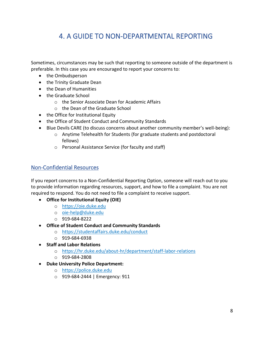## 4. A GUIDE TO NON-DEPARTMENTAL REPORTING

Sometimes, circumstances may be such that reporting to someone outside of the department is preferable. In this case you are encouraged to report your concerns to:

- the Ombudsperson
- the Trinity Graduate Dean
- the Dean of Humanities
- the Graduate School
	- o the Senior Associate Dean for Academic Affairs
	- o the Dean of the Graduate School
- the Office for Institutional Equity
- the Office of Student Conduct and Community Standards
- Blue Devils CARE (to discuss concerns about another community member's well-being):
	- o Anytime Telehealth for Students (for graduate students and postdoctoral fellows)
	- o Personal Assistance Service (for faculty and staff)

#### Non-Confidential Resources

If you report concerns to a Non-Confidential Reporting Option, someone will reach out to you to provide information regarding resources, support, and how to file a complaint. You are not required to respond. You do not need to file a complaint to receive support.

- **Office for Institutional Equity (OIE)**
	- o [https://oie.duke.edu](https://oie.duke.edu/)
	- o [oie-help@duke.edu](mailto:oie-help@duke.edu)
	- o 919-684-8222
- **Office of Student Conduct and Community Standards**
	- o <https://studentaffairs.duke.edu/conduct>
	- o 919-684-6938
- **Staff and Labor Relations**
	- o <https://hr.duke.edu/about-hr/department/staff-labor-relations>
	- o 919-684-2808
- **Duke University Police Department:**
	- o [https://police.duke.edu](https://police.duke.edu/)
	- o 919-684-2444 | Emergency: 911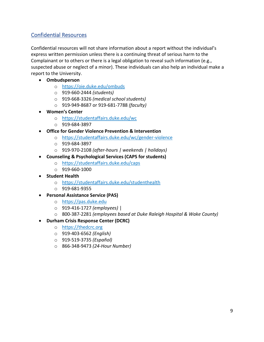### Confidential Resources

Confidential resources will not share information about a report without the individual's express written permission unless there is a continuing threat of serious harm to the Complainant or to others or there is a legal obligation to reveal such information (e.g., suspected abuse or neglect of a minor). These individuals can also help an individual make a report to the University.

- **Ombudsperson**
	- o <https://oie.duke.edu/ombuds>
	- o 919-660-2444 *(students)*
	- o 919-668-3326 *(medical school students)*
	- o 919-949-8687 or 919-681-7788 *(faculty)*
- **Women's Center**
	- o <https://studentaffairs.duke.edu/wc>
	- o 919-684-3897
- **Office for Gender Violence Prevention & Intervention**
	- o <https://studentaffairs.duke.edu/wc/gender-violence>
	- o 919-684-3897
	- o 919-970-2108 *(after-hours | weekends | holidays)*
- **Counseling & Psychological Services (CAPS for students)**
	- o <https://studentaffairs.duke.edu/caps>
	- $O = 919 660 1000$
- **Student Health**
	- o <https://studentaffairs.duke.edu/studenthealth>
	- o 919-681-9355
- **Personal Assistance Service (PAS)**
	- o [https://pas.duke.edu](https://pas.duke.edu/)
	- o 919-416-1727 *(employees)* |
	- o 800-387-2281 *(employees based at Duke Raleigh Hospital & Wake County)*
- **Durham Crisis Response Center (DCRC)**
	- o [https://thedcrc.org](https://thedcrc.org/)
	- o 919-403-6562 *(English)*
	- o 919-519-3735 *(Español)*
	- o 866-348-9473 *(24-Hour Number)*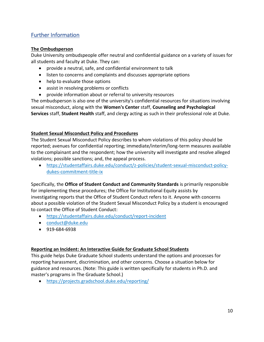## Further Information

#### **The Ombudsperson**

Duke University ombudspeople offer neutral and confidential guidance on a variety of issues for all students and faculty at Duke. They can:

- provide a neutral, safe, and confidential environment to talk
- listen to concerns and complaints and discusses appropriate options
- help to evaluate those options
- assist in resolving problems or conflicts
- provide information about or referral to university resources

The ombudsperson is also one of the university's confidential resources for situations involving sexual misconduct, along with the **Women's Center** staff, **Counseling and Psychological Services** staff, **Student Health** staff, and clergy acting as such in their professional role at Duke.

#### **Student Sexual Misconduct Policy and Procedures**

The Student Sexual Misconduct Policy describes to whom violations of this policy should be reported; avenues for confidential reporting; immediate/interim/long-term measures available to the complainant and the respondent; how the university will investigate and resolve alleged violations; possible sanctions; and, the appeal process.

• [https://studentaffairs.duke.edu/conduct/z-policies/student-sexual-misconduct-policy](https://studentaffairs.duke.edu/conduct/z-policies/student-sexual-misconduct-policy-dukes-commitment-title-ix)[dukes-commitment-title-ix](https://studentaffairs.duke.edu/conduct/z-policies/student-sexual-misconduct-policy-dukes-commitment-title-ix)

Specifically, the **Office of Student Conduct and Community Standards** is primarily responsible for implementing these procedures; the Office for Institutional Equity assists by investigating reports that the Office of Student Conduct refers to it. Anyone with concerns about a possible violation of the Student Sexual Misconduct Policy by a student is encouraged to contact the Office of Student Conduct:

- <https://studentaffairs.duke.edu/conduct/report-incident>
- [conduct@duke.edu](mailto:conduct@duke.edu)
- 919-684-6938

#### **Reporting an Incident: An Interactive Guide for Graduate School Students**

This guide helps Duke Graduate School students understand the options and processes for reporting harassment, discrimination, and other concerns. Choose a situation below for guidance and resources. (Note: This guide is written specifically for students in Ph.D. and master's programs in The Graduate School.)

• <https://projects.gradschool.duke.edu/reporting/>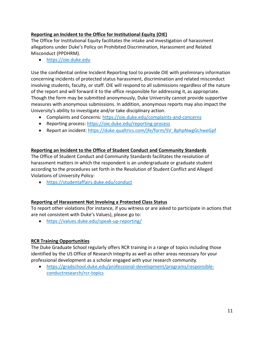#### **Reporting an Incident to the Office for Institutional Equity (OIE)**

The Office for Institutional Equity facilitates the intake and investigation of harassment allegations under Duke's Policy on Prohibited Discrimination, Harassment and Related Misconduct (PPDHRM).

• [https://oie.duke.edu](https://oie.duke.edu/)

Use the confidential online Incident Reporting tool to provide OIE with preliminary information concerning incidents of protected status harassment, discrimination and related misconduct involving students, faculty, or staff. OIE will respond to all submissions regardless of the nature of the report and will forward it to the office responsible for addressing it, as appropriate. Though the form may be submitted anonymously, Duke University cannot provide supportive measures with anonymous submissions. In addition, anonymous reports may also impact the University's ability to investigate and/or take disciplinary action.

- Complaints and Concerns:<https://oie.duke.edu/complaints-and-concerns>
- Reporting process:<https://oie.duke.edu/reporting-process>
- Report an incident: [https://duke.qualtrics.com/jfe/form/SV\\_8phpNwgGLhweGpf](https://duke.qualtrics.com/jfe/form/SV_8phpNwgGLhweGpf)

#### **Reporting an Incident to the Office of Student Conduct and Community Standards**

The Office of Student Conduct and Community Standards facilitates the resolution of harassment matters in which the respondent is an undergraduate or graduate student according to the procedures set forth in the Resolution of Student Conflict and Alleged Violations of University Policy:

• <https://studentaffairs.duke.edu/conduct>

#### **Reporting of Harassment Not Involving a Protected Class Status**

To report other violations (for instance, if you witness or are asked to participate in actions that are not consistent with Duke's Values), please go to:

• <https://values.duke.edu/speak-up-reporting/>

#### **RCR Training Opportunities**

The Duke Graduate School regularly offers RCR training in a range of topics including those identified by the US Office of Research Integrity as well as other areas necessary for your professional development as a scholar engaged with your research community.

• [https://gradschool.duke.edu/professional-development/programs/responsible](https://gradschool.duke.edu/professional-development/programs/responsible-conductresearch/rcr-topics)[conductresearch/rcr-topics](https://gradschool.duke.edu/professional-development/programs/responsible-conductresearch/rcr-topics)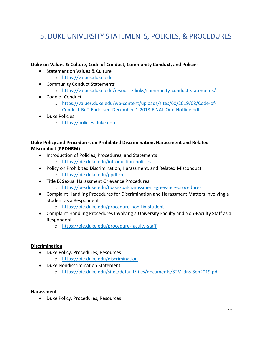## 5. DUKE UNIVERSITY STATEMENTS, POLICIES, & PROCEDURES

#### **Duke on Values & Culture, Code of Conduct, Community Conduct, and Policies**

- Statement on Values & Culture o [https://values.duke.edu](https://values.duke.edu/)
- Community Conduct Statements o <https://values.duke.edu/resource-links/community-conduct-statements/>
- Code of Conduct
	- o [https://values.duke.edu/wp-content/uploads/sites/60/2019/08/Code-of-](https://values.duke.edu/wp-content/uploads/sites/60/2019/08/Code-of-Conduct-BoT-Endorsed-December-1-2018-FINAL-One-Hotline.pdf)[Conduct-BoT-Endorsed-December-1-2018-FINAL-One-Hotline.pdf](https://values.duke.edu/wp-content/uploads/sites/60/2019/08/Code-of-Conduct-BoT-Endorsed-December-1-2018-FINAL-One-Hotline.pdf)
- Duke Policies
	- o [https://policies.duke.edu](https://policies.duke.edu/)

#### **Duke Policy and Procedures on Prohibited Discrimination, Harassment and Related Misconduct (PPDHRM)**

- Introduction of Policies, Procedures, and Statements
	- o <https://oie.duke.edu/introduction-policies>
- Policy on Prohibited Discrimination, Harassment, and Related Misconduct
	- o <https://oie.duke.edu/ppdhrm>
- Title IX Sexual Harassment Grievance Procedures
	- o <https://oie.duke.edu/tix-sexual-harassment-grievance-procedures>
- Complaint Handling Procedures for Discrimination and Harassment Matters Involving a Student as a Respondent
	- o <https://oie.duke.edu/procedure-non-tix-student>
- Complaint Handling Procedures Involving a University Faculty and Non-Faculty Staff as a Respondent
	- o <https://oie.duke.edu/procedure-faculty-staff>

#### **Discrimination**

- Duke Policy, Procedures, Resources
	- o <https://oie.duke.edu/discrimination>
- Duke Nondiscrimination Statement
	- o <https://oie.duke.edu/sites/default/files/documents/STM-dns-Sep2019.pdf>

#### **Harassment**

• Duke Policy, Procedures, Resources